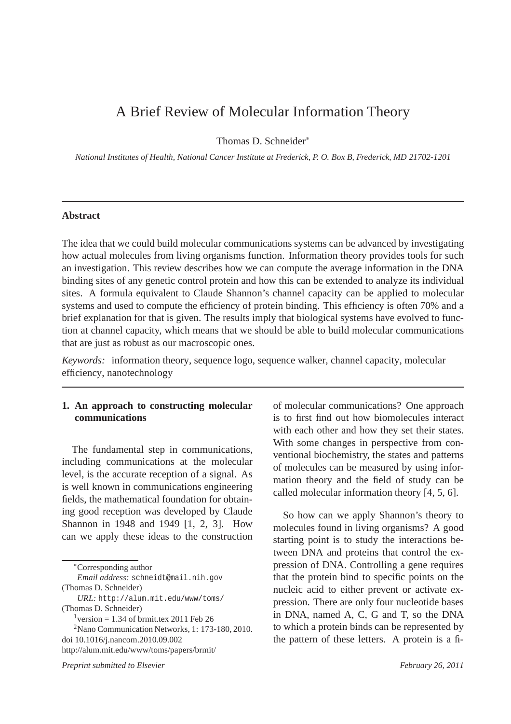# A Brief Review of Molecular Information Theory

Thomas D. Schneider<sup>\*</sup>

*National Institutes of Health, National Cancer Institute at Frederick, P. O. Box B, Frederick, MD 21702-1201*

## **Abstract**

The idea that we could build molecular communications systems can be advanced by investigating how actual molecules from living organisms function. Information theory provides tools for such an investigation. This review describes how we can compute the average information in the DNA binding sites of any genetic control protein and how this can be extended to analyze its individual sites. A formula equivalent to Claude Shannon's channel capacity can be applied to molecular systems and used to compute the efficiency of protein binding. This efficiency is often 70% and a brief explanation for that is given. The results imply that biological systems have evolved to function at channel capacity, which means that we should be able to build molecular communications that are just as robust as our macroscopic ones.

*Keywords:* information theory, sequence logo, sequence walker, channel capacity, molecular efficiency, nanotechnology

## **1. An approach to constructing molecular communications**

The fundamental step in communications, including communications at the molecular level, is the accurate reception of a signal. As is well known in communications engineering fields, the mathematical foundation for obtaining good reception was developed by Claude Shannon in 1948 and 1949 [1, 2, 3]. How can we apply these ideas to the construction

http://alum.mit.edu/www/toms/papers/brmit/

*Preprint submitted to Elsevier February 26, 2011*

of molecular communications? One approach is to first find out how biomolecules interact with each other and how they set their states. With some changes in perspective from conventional biochemistry, the states and patterns of molecules can be measured by using information theory and the field of study can be called molecular information theory [4, 5, 6].

So how can we apply Shannon's theory to molecules found in living organisms? A good starting point is to study the interactions between DNA and proteins that control the expression of DNA. Controlling a gene requires that the protein bind to specific points on the nucleic acid to either prevent or activate expression. There are only four nucleotide bases in DNA, named A, C, G and T, so the DNA to which a protein binds can be represented by the pattern of these letters. A protein is a fi-

<sup>∗</sup>Corresponding author

*Email address:* schneidt@mail.nih.gov (Thomas D. Schneider)

*URL:* http://alum.mit.edu/www/toms/ (Thomas D. Schneider)

 $1$ version = 1.34 of brmit.tex 2011 Feb 26

<sup>2</sup>Nano Communication Networks, 1: 173-180, 2010. doi 10.1016/j.nancom.2010.09.002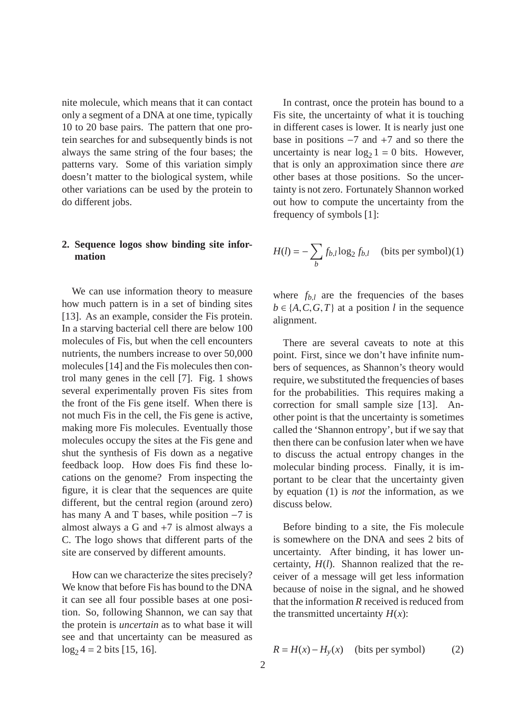nite molecule, which means that it can contact only a segment of a DNA at one time, typically 10 to 20 base pairs. The pattern that one protein searches for and subsequently binds is not always the same string of the four bases; the patterns vary. Some of this variation simply doesn't matter to the biological system, while other variations can be used by the protein to do different jobs.

## **2. Sequence logos show binding site information**

We can use information theory to measure how much pattern is in a set of binding sites [13]. As an example, consider the Fis protein. In a starving bacterial cell there are below 100 molecules of Fis, but when the cell encounters nutrients, the numbers increase to over 50,000 molecules [14] and the Fis molecules then control many genes in the cell [7]. Fig. 1 shows several experimentally proven Fis sites from the front of the Fis gene itself. When there is not much Fis in the cell, the Fis gene is active, making more Fis molecules. Eventually those molecules occupy the sites at the Fis gene and shut the synthesis of Fis down as a negative feedback loop. How does Fis find these locations on the genome? From inspecting the figure, it is clear that the sequences are quite different, but the central region (around zero) has many A and T bases, while position −7 is almost always a  $G$  and  $+7$  is almost always a C. The logo shows that different parts of the site are conserved by different amounts.

How can we characterize the sites precisely? We know that before Fis has bound to the DNA it can see all four possible bases at one position. So, following Shannon, we can say that the protein is *uncertain* as to what base it will see and that uncertainty can be measured as  $log_2 4 = 2 \text{ bits } [15, 16].$ 

In contrast, once the protein has bound to a Fis site, the uncertainty of what it is touching in different cases is lower. It is nearly just one base in positions −7 and +7 and so there the uncertainty is near  $log_2 1 = 0$  bits. However, that is only an approximation since there *are* other bases at those positions. So the uncertainty is not zero. Fortunately Shannon worked out how to compute the uncertainty from the frequency of symbols [1]:

$$
H(l) = -\sum_{b} f_{b,l} \log_2 f_{b,l} \quad \text{(bits per symbol)}(1)
$$

where  $f_{b,l}$  are the frequencies of the bases  $b \in \{A, C, G, T\}$  at a position *l* in the sequence alignment.

There are several caveats to note at this point. First, since we don't have infinite numbers of sequences, as Shannon's theory would require, we substituted the frequencies of bases for the probabilities. This requires making a correction for small sample size [13]. Another point is that the uncertainty is sometimes called the 'Shannon entropy', but if we say that then there can be confusion later when we have to discuss the actual entropy changes in the molecular binding process. Finally, it is important to be clear that the uncertainty given by equation (1) is *not* the information, as we discuss below.

Before binding to a site, the Fis molecule is somewhere on the DNA and sees 2 bits of uncertainty. After binding, it has lower uncertainty, *H*(*l*). Shannon realized that the receiver of a message will get less information because of noise in the signal, and he showed that the information *R* received is reduced from the transmitted uncertainty  $H(x)$ :

$$
R = H(x) - H_y(x)
$$
 (bits per symbol) (2)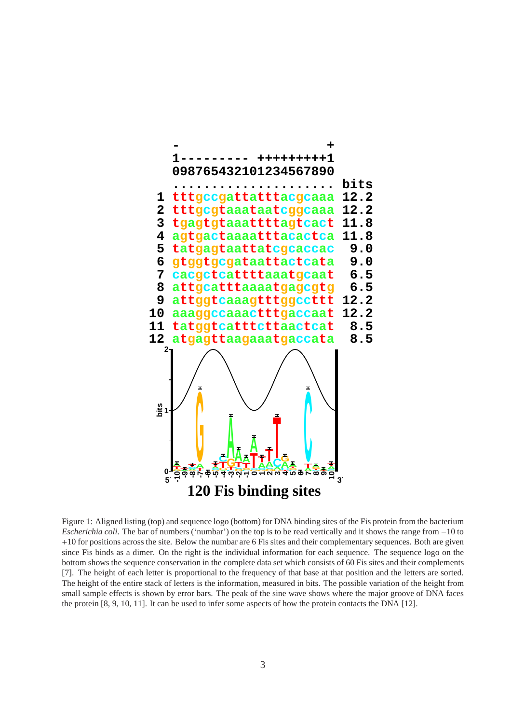

Figure 1: Aligned listing (top) and sequence logo (bottom) for DNA binding sites of the Fis protein from the bacterium *Escherichia coli*. The bar of numbers ('numbar') on the top is to be read vertically and it shows the range from −10 to +10 for positions across the site. Below the numbar are 6 Fis sites and their complementary sequences. Both are given since Fis binds as a dimer. On the right is the individual information for each sequence. The sequence logo on the bottom shows the sequence conservation in the complete data set which consists of 60 Fis sites and their complements [7]. The height of each letter is proportional to the frequency of that base at that position and the letters are sorted. The height of the entire stack of letters is the information, measured in bits. The possible variation of the height from small sample effects is shown by error bars. The peak of the sine wave shows where the major groove of DNA faces the protein [8, 9, 10, 11]. It can be used to infer some aspects of how the protein contacts the DNA [12].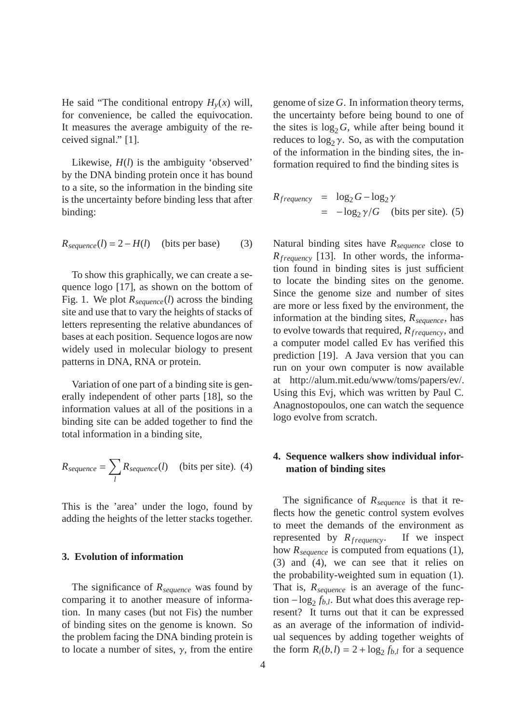He said "The conditional entropy  $H<sub>v</sub>(x)$  will, for convenience, be called the equivocation. It measures the average ambiguity of the received signal." [1].

Likewise, *H*(*l*) is the ambiguity 'observed' by the DNA binding protein once it has bound to a site, so the information in the binding site is the uncertainty before binding less that after binding:

 $R_{sequence}(l) = 2 - H(l)$  (bits per base) (3)

To show this graphically, we can create a sequence logo [17], as shown on the bottom of Fig. 1. We plot  $R_{\text{sequence}}(l)$  across the binding site and use that to vary the heights of stacks of letters representing the relative abundances of bases at each position. Sequence logos are now widely used in molecular biology to present patterns in DNA, RNA or protein.

Variation of one part of a binding site is generally independent of other parts [18], so the information values at all of the positions in a binding site can be added together to find the total information in a binding site,

$$
R_{sequence} = \sum_{l} R_{sequence}(l) \quad \text{(bits per site). (4)}
$$

This is the 'area' under the logo, found by adding the heights of the letter stacks together.

#### **3. Evolution of information**

The significance of *Rsequence* was found by comparing it to another measure of information. In many cases (but not Fis) the number of binding sites on the genome is known. So the problem facing the DNA binding protein is to locate a number of sites,  $\gamma$ , from the entire genome of size *G*. In information theory terms, the uncertainty before being bound to one of the sites is  $log_2 G$ , while after being bound it reduces to  $log_2 \gamma$ . So, as with the computation of the information in the binding sites, the information required to find the binding sites is

$$
R_{frequency} = \log_2 G - \log_2 \gamma
$$
  
= -\log\_2 \gamma/G (bits per site). (5)

Natural binding sites have *Rsequence* close to  $R_{frequency}$  [13]. In other words, the information found in binding sites is just sufficient to locate the binding sites on the genome. Since the genome size and number of sites are more or less fixed by the environment, the information at the binding sites, *Rsequence*, has to evolve towards that required,  $R_{f}$ <sub>requency</sub>, and a computer model called Ev has verified this prediction [19]. A Java version that you can run on your own computer is now available at http://alum.mit.edu/www/toms/papers/ev/. Using this Evj, which was written by Paul C. Anagnostopoulos, one can watch the sequence logo evolve from scratch.

# **4. Sequence walkers show individual information of binding sites**

The significance of *Rsequence* is that it reflects how the genetic control system evolves to meet the demands of the environment as represented by  $R_{frequency}$ . If we inspect how *Rsequence* is computed from equations (1), (3) and (4), we can see that it relies on the probability-weighted sum in equation (1). That is, *Rsequence* is an average of the func- $\frac{1}{2}$  *f<sub>b,l</sub>*. But what does this average represent? It turns out that it can be expressed as an average of the information of individual sequences by adding together weights of the form  $R_i(b, l) = 2 + \log_2 f_{b,l}$  for a sequence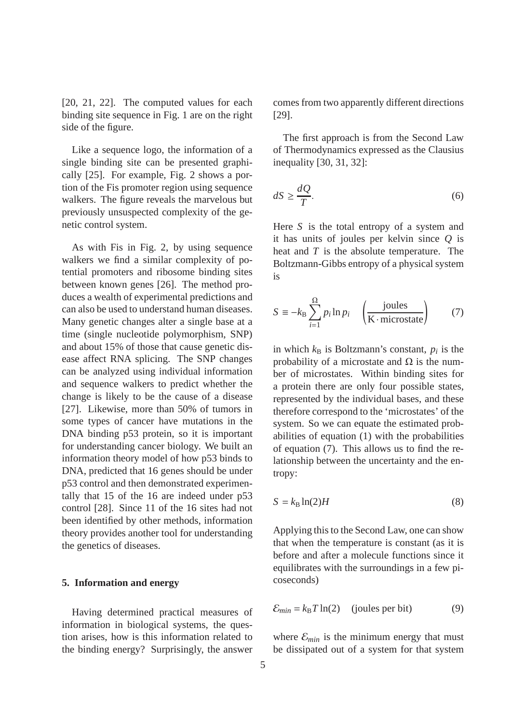[20, 21, 22]. The computed values for each binding site sequence in Fig. 1 are on the right side of the figure.

Like a sequence logo, the information of a single binding site can be presented graphically [25]. For example, Fig. 2 shows a portion of the Fis promoter region using sequence walkers. The figure reveals the marvelous but previously unsuspected complexity of the genetic control system.

As with Fis in Fig. 2, by using sequence walkers we find a similar complexity of potential promoters and ribosome binding sites between known genes [26]. The method produces a wealth of experimental predictions and can also be used to understand human diseases. Many genetic changes alter a single base at a time (single nucleotide polymorphism, SNP) and about 15% of those that cause genetic disease affect RNA splicing. The SNP changes can be analyzed using individual information and sequence walkers to predict whether the change is likely to be the cause of a disease [27]. Likewise, more than 50% of tumors in some types of cancer have mutations in the DNA binding p53 protein, so it is important for understanding cancer biology. We built an information theory model of how p53 binds to DNA, predicted that 16 genes should be under p53 control and then demonstrated experimentally that 15 of the 16 are indeed under p53 control [28]. Since 11 of the 16 sites had not been identified by other methods, information theory provides another tool for understanding the genetics of diseases.

#### **5. Information and energy**

Having determined practical measures of information in biological systems, the question arises, how is this information related to the binding energy? Surprisingly, the answer

comes from two apparently different directions [29].

The first approach is from the Second Law of Thermodynamics expressed as the Clausius inequality [30, 31, 32]:

$$
dS \ge \frac{dQ}{T}.\tag{6}
$$

Here *S* is the total entropy of a system and it has units of joules per kelvin since *Q* is heat and *T* is the absolute temperature. The Boltzmann-Gibbs entropy of a physical system is

$$
S \equiv -k_{\rm B} \sum_{i=1}^{\Omega} p_i \ln p_i \quad \left(\frac{\text{joules}}{\text{K}\cdot\text{microstate}}\right) \tag{7}
$$

in which  $k_B$  is Boltzmann's constant,  $p_i$  is the probability of a microstate and  $\Omega$  is the number of microstates. Within binding sites for a protein there are only four possible states, represented by the individual bases, and these therefore correspond to the 'microstates' of the system. So we can equate the estimated probabilities of equation (1) with the probabilities of equation (7). This allows us to find the relationship between the uncertainty and the entropy:

$$
S = k_{\rm B} \ln(2) H \tag{8}
$$

Applying this to the Second Law, one can show that when the temperature is constant (as it is before and after a molecule functions since it equilibrates with the surroundings in a few picoseconds)

$$
\mathcal{E}_{min} = k_B T \ln(2) \quad \text{(joules per bit)} \tag{9}
$$

where  $\mathcal{E}_{min}$  is the minimum energy that must be dissipated out of a system for that system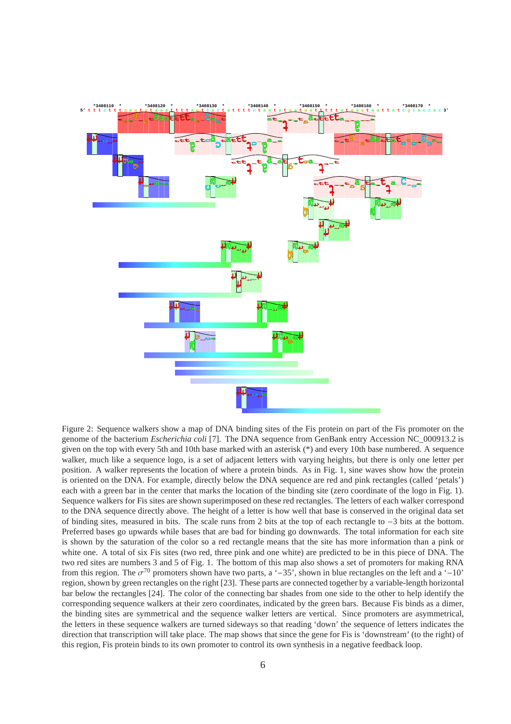

Figure 2: Sequence walkers show a map of DNA binding sites of the Fis protein on part of the Fis promoter on the genome of the bacterium *Escherichia coli* [7]. The DNA sequence from GenBank entry Accession NC\_000913.2 is given on the top with every 5th and 10th base marked with an asterisk (\*) and every 10th base numbered. A sequence walker, much like a sequence logo, is a set of adjacent letters with varying heights, but there is only one letter per position. A walker represents the location of where a protein binds. As in Fig. 1, sine waves show how the protein is oriented on the DNA. For example, directly below the DNA sequence are red and pink rectangles (called 'petals') each with a green bar in the center that marks the location of the binding site (zero coordinate of the logo in Fig. 1). Sequence walkers for Fis sites are shown superimposed on these red rectangles. The letters of each walker correspond to the DNA sequence directly above. The height of a letter is how well that base is conserved in the original data set of binding sites, measured in bits. The scale runs from 2 bits at the top of each rectangle to −3 bits at the bottom. Preferred bases go upwards while bases that are bad for binding go downwards. The total information for each site is shown by the saturation of the color so a red rectangle means that the site has more information than a pink or white one. A total of six Fis sites (two red, three pink and one white) are predicted to be in this piece of DNA. The two red sites are numbers 3 and 5 of Fig. 1. The bottom of this map also shows a set of promoters for making RNA from this region. The  $\sigma^{70}$  promoters shown have two parts, a '−35', shown in blue rectangles on the left and a '−10' region, shown by green rectangles on the right [23]. These parts are connected together by a variable-length horizontal bar below the rectangles [24]. The color of the connecting bar shades from one side to the other to help identify the corresponding sequence walkers at their zero coordinates, indicated by the green bars. Because Fis binds as a dimer, the binding sites are symmetrical and the sequence walker letters are vertical. Since promoters are asymmetrical, the letters in these sequence walkers are turned sideways so that reading 'down' the sequence of letters indicates the direction that transcription will take place. The map shows that since the gene for Fis is 'downstream' (to the right) of this region, Fis protein binds to its own promoter to control its own synthesis in a negative feedback loop.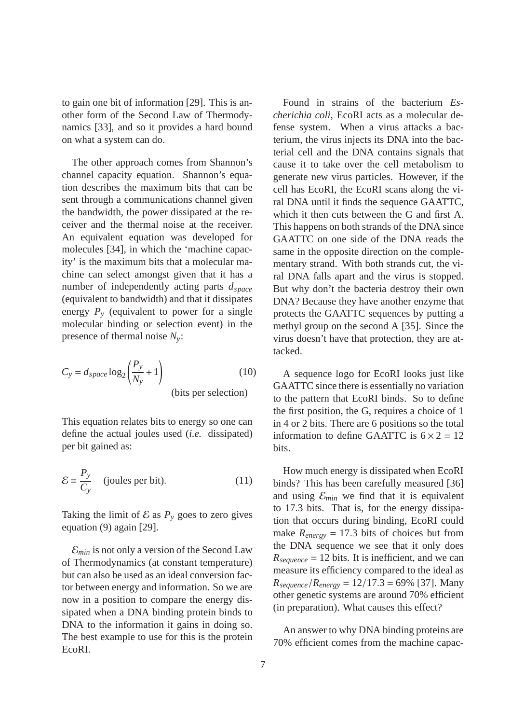to gain one bit of information [29]. This is another form of the Second Law of Thermodynamics [33], and so it provides a hard bound on what a system can do.

The other approach comes from Shannon's channel capacity equation. Shannon's equation describes the maximum bits that can be sent through a communications channel given the bandwidth, the power dissipated at the receiver and the thermal noise at the receiver. An equivalent equation was developed for molecules [34], in which the 'machine capacity' is the maximum bits that a molecular machine can select amongst given that it has a number of independently acting parts *dspace* (equivalent to bandwidth) and that it dissipates energy  $P_y$  (equivalent to power for a single molecular binding or selection event) in the presence of thermal noise *Ny*:

$$
C_y = d_{space} \log_2 \left(\frac{P_y}{N_y} + 1\right)
$$
 (10)  
(bits per selection)

This equation relates bits to energy so one can define the actual joules used (*i.e.* dissipated) per bit gained as:

$$
\mathcal{E} \equiv \frac{P_y}{C_y} \quad \text{(joules per bit)}.\tag{11}
$$

Taking the limit of  $\mathcal E$  as  $P_\nu$  goes to zero gives equation (9) again [29].

 $\mathcal{E}_{min}$  is not only a version of the Second Law of Thermodynamics (at constant temperature) but can also be used as an ideal conversion factor between energy and information. So we are now in a position to compare the energy dissipated when a DNA binding protein binds to DNA to the information it gains in doing so. The best example to use for this is the protein EcoRI.

Found in strains of the bacterium *Escherichia coli*, EcoRI acts as a molecular defense system. When a virus attacks a bacterium, the virus injects its DNA into the bacterial cell and the DNA contains signals that cause it to take over the cell metabolism to generate new virus particles. However, if the cell has EcoRI, the EcoRI scans along the viral DNA until it finds the sequence GAATTC, which it then cuts between the G and first A. This happens on both strands of the DNA since GAATTC on one side of the DNA reads the same in the opposite direction on the complementary strand. With both strands cut, the viral DNA falls apart and the virus is stopped. But why don't the bacteria destroy their own DNA? Because they have another enzyme that protects the GAATTC sequences by putting a methyl group on the second A [35]. Since the virus doesn't have that protection, they are attacked.

A sequence logo for EcoRI looks just like GAATTC since there is essentially no variation to the pattern that EcoRI binds. So to define the first position, the G, requires a choice of 1 in 4 or 2 bits. There are 6 positions so the total information to define GAATTC is  $6 \times 2 = 12$ bits.

How much energy is dissipated when EcoRI binds? This has been carefully measured [36] and using  $\mathcal{E}_{min}$  we find that it is equivalent to 17.3 bits. That is, for the energy dissipation that occurs during binding, EcoRI could make  $R_{energy} = 17.3$  bits of choices but from the DNA sequence we see that it only does  $R_{\text{sequence}} = 12$  bits. It is inefficient, and we can measure its efficiency compared to the ideal as  $R_{sequence}/R_{energy} = 12/17.3 = 69\%$  [37]. Many other genetic systems are around 70% efficient (in preparation). What causes this effect?

An answer to why DNA binding proteins are 70% efficient comes from the machine capac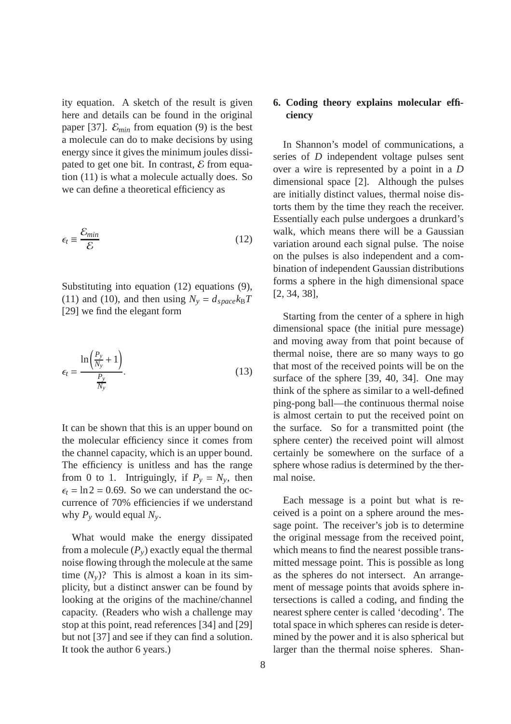ity equation. A sketch of the result is given here and details can be found in the original paper [37].  $\mathcal{E}_{min}$  from equation (9) is the best a molecule can do to make decisions by using energy since it gives the minimum joules dissipated to get one bit. In contrast,  $\mathcal E$  from equation (11) is what a molecule actually does. So we can define a theoretical efficiency as

$$
\epsilon_t \equiv \frac{\mathcal{E}_{min}}{\mathcal{E}} \tag{12}
$$

Substituting into equation (12) equations (9), (11) and (10), and then using  $N_v = d_{space}k_BT$ [29] we find the elegant form

$$
\epsilon_t = \frac{\ln\left(\frac{P_y}{N_y} + 1\right)}{\frac{P_y}{N_y}}.\tag{13}
$$

It can be shown that this is an upper bound on the molecular efficiency since it comes from the channel capacity, which is an upper bound. The efficiency is unitless and has the range from 0 to 1. Intriguingly, if  $P_y = N_y$ , then  $\epsilon_t = \ln 2 = 0.69$ . So we can understand the occurrence of 70% efficiencies if we understand why  $P_v$  would equal  $N_v$ .

What would make the energy dissipated from a molecule  $(P_v)$  exactly equal the thermal noise flowing through the molecule at the same time  $(N_v)$ ? This is almost a koan in its simplicity, but a distinct answer can be found by looking at the origins of the machine/channel capacity. (Readers who wish a challenge may stop at this point, read references [34] and [29] but not [37] and see if they can find a solution. It took the author 6 years.)

# **6. Coding theory explains molecular efficiency**

In Shannon's model of communications, a series of *D* independent voltage pulses sent over a wire is represented by a point in a *D* dimensional space [2]. Although the pulses are initially distinct values, thermal noise distorts them by the time they reach the receiver. Essentially each pulse undergoes a drunkard's walk, which means there will be a Gaussian variation around each signal pulse. The noise on the pulses is also independent and a combination of independent Gaussian distributions forms a sphere in the high dimensional space [2, 34, 38],

Starting from the center of a sphere in high dimensional space (the initial pure message) and moving away from that point because of thermal noise, there are so many ways to go that most of the received points will be on the surface of the sphere [39, 40, 34]. One may think of the sphere as similar to a well-defined ping-pong ball—the continuous thermal noise is almost certain to put the received point on the surface. So for a transmitted point (the sphere center) the received point will almost certainly be somewhere on the surface of a sphere whose radius is determined by the thermal noise.

Each message is a point but what is received is a point on a sphere around the message point. The receiver's job is to determine the original message from the received point, which means to find the nearest possible transmitted message point. This is possible as long as the spheres do not intersect. An arrangement of message points that avoids sphere intersections is called a coding, and finding the nearest sphere center is called 'decoding'. The total space in which spheres can reside is determined by the power and it is also spherical but larger than the thermal noise spheres. Shan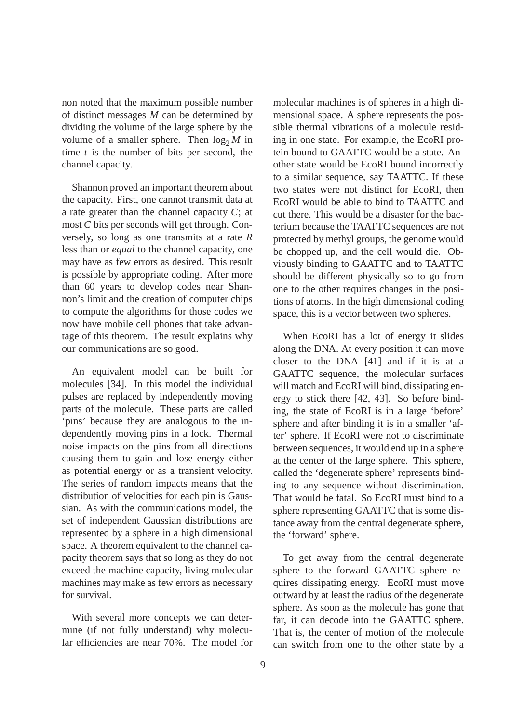non noted that the maximum possible number of distinct messages *M* can be determined by dividing the volume of the large sphere by the volume of a smaller sphere. Then  $\log_2 M$  in time *t* is the number of bits per second, the channel capacity.

Shannon proved an important theorem about the capacity. First, one cannot transmit data at a rate greater than the channel capacity *C*; at most *C* bits per seconds will get through. Conversely, so long as one transmits at a rate *R* less than or *equal* to the channel capacity, one may have as few errors as desired. This result is possible by appropriate coding. After more than 60 years to develop codes near Shannon's limit and the creation of computer chips to compute the algorithms for those codes we now have mobile cell phones that take advantage of this theorem. The result explains why our communications are so good.

An equivalent model can be built for molecules [34]. In this model the individual pulses are replaced by independently moving parts of the molecule. These parts are called 'pins' because they are analogous to the independently moving pins in a lock. Thermal noise impacts on the pins from all directions causing them to gain and lose energy either as potential energy or as a transient velocity. The series of random impacts means that the distribution of velocities for each pin is Gaussian. As with the communications model, the set of independent Gaussian distributions are represented by a sphere in a high dimensional space. A theorem equivalent to the channel capacity theorem says that so long as they do not exceed the machine capacity, living molecular machines may make as few errors as necessary for survival.

With several more concepts we can determine (if not fully understand) why molecular efficiencies are near 70%. The model for molecular machines is of spheres in a high dimensional space. A sphere represents the possible thermal vibrations of a molecule residing in one state. For example, the EcoRI protein bound to GAATTC would be a state. Another state would be EcoRI bound incorrectly to a similar sequence, say TAATTC. If these two states were not distinct for EcoRI, then EcoRI would be able to bind to TAATTC and cut there. This would be a disaster for the bacterium because the TAATTC sequences are not protected by methyl groups, the genome would be chopped up, and the cell would die. Obviously binding to GAATTC and to TAATTC should be different physically so to go from one to the other requires changes in the positions of atoms. In the high dimensional coding space, this is a vector between two spheres.

When EcoRI has a lot of energy it slides along the DNA. At every position it can move closer to the DNA [41] and if it is at a GAATTC sequence, the molecular surfaces will match and EcoRI will bind, dissipating energy to stick there [42, 43]. So before binding, the state of EcoRI is in a large 'before' sphere and after binding it is in a smaller 'after' sphere. If EcoRI were not to discriminate between sequences, it would end up in a sphere at the center of the large sphere. This sphere, called the 'degenerate sphere' represents binding to any sequence without discrimination. That would be fatal. So EcoRI must bind to a sphere representing GAATTC that is some distance away from the central degenerate sphere, the 'forward' sphere.

To get away from the central degenerate sphere to the forward GAATTC sphere requires dissipating energy. EcoRI must move outward by at least the radius of the degenerate sphere. As soon as the molecule has gone that far, it can decode into the GAATTC sphere. That is, the center of motion of the molecule can switch from one to the other state by a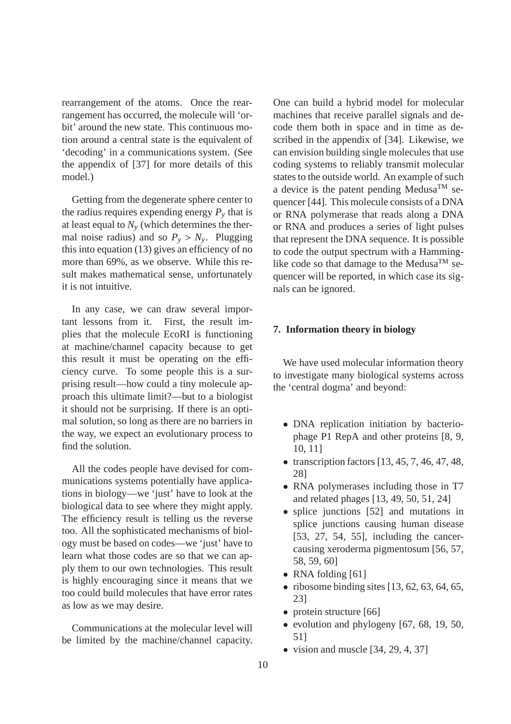rearrangement of the atoms. Once the rearrangement has occurred, the molecule will 'orbit' around the new state. This continuous motion around a central state is the equivalent of 'decoding' in a communications system. (See the appendix of [37] for more details of this model.)

Getting from the degenerate sphere center to the radius requires expending energy  $P<sub>y</sub>$  that is at least equal to  $N_v$  (which determines the thermal noise radius) and so  $P_v > N_v$ . Plugging this into equation (13) gives an efficiency of no more than 69%, as we observe. While this result makes mathematical sense, unfortunately it is not intuitive.

In any case, we can draw several important lessons from it. First, the result implies that the molecule EcoRI is functioning at machine/channel capacity because to get this result it must be operating on the efficiency curve. To some people this is a surprising result—how could a tiny molecule approach this ultimate limit?—but to a biologist it should not be surprising. If there is an optimal solution, so long as there are no barriers in the way, we expect an evolutionary process to find the solution.

All the codes people have devised for communications systems potentially have applications in biology—we 'just' have to look at the biological data to see where they might apply. The efficiency result is telling us the reverse too. All the sophisticated mechanisms of biology must be based on codes—we 'just' have to learn what those codes are so that we can apply them to our own technologies. This result is highly encouraging since it means that we too could build molecules that have error rates as low as we may desire.

Communications at the molecular level will be limited by the machine/channel capacity. One can build a hybrid model for molecular machines that receive parallel signals and decode them both in space and in time as described in the appendix of [34]. Likewise, we can envision building single molecules that use coding systems to reliably transmit molecular states to the outside world. An example of such a device is the patent pending Medusa<sup>TM</sup> sequencer [44]. This molecule consists of a DNA or RNA polymerase that reads along a DNA or RNA and produces a series of light pulses that represent the DNA sequence. It is possible to code the output spectrum with a Hamminglike code so that damage to the Medusa<sup>TM</sup> sequencer will be reported, in which case its signals can be ignored.

#### **7. Information theory in biology**

We have used molecular information theory to investigate many biological systems across the 'central dogma' and beyond:

- DNA replication initiation by bacteriophage P1 RepA and other proteins [8, 9, 10, 11]
- transcription factors  $[13, 45, 7, 46, 47, 48,$ 28]
- RNA polymerases including those in T7 and related phages [13, 49, 50, 51, 24]
- splice junctions [52] and mutations in splice junctions causing human disease [53, 27, 54, 55], including the cancercausing xeroderma pigmentosum [56, 57, 58, 59, 60]
- RNA folding [61]
- ribosome binding sites  $[13, 62, 63, 64, 65,$ 23]
- protein structure [66]
- evolution and phylogeny [67, 68, 19, 50, 51]
- vision and muscle  $[34, 29, 4, 37]$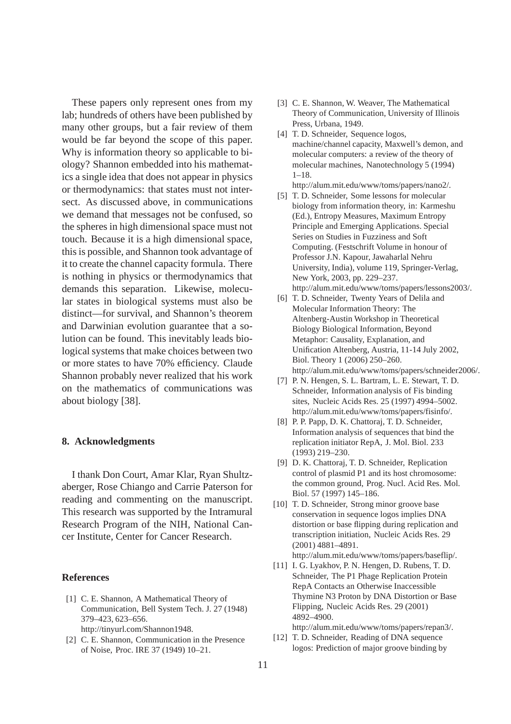These papers only represent ones from my lab; hundreds of others have been published by many other groups, but a fair review of them would be far beyond the scope of this paper. Why is information theory so applicable to biology? Shannon embedded into his mathematics a single idea that does not appear in physics or thermodynamics: that states must not intersect. As discussed above, in communications we demand that messages not be confused, so the spheres in high dimensional space must not touch. Because it is a high dimensional space, this is possible, and Shannon took advantage of it to create the channel capacity formula. There is nothing in physics or thermodynamics that demands this separation. Likewise, molecular states in biological systems must also be distinct—for survival, and Shannon's theorem and Darwinian evolution guarantee that a solution can be found. This inevitably leads biological systems that make choices between two or more states to have 70% efficiency. Claude Shannon probably never realized that his work on the mathematics of communications was about biology [38].

#### **8. Acknowledgments**

I thank Don Court, Amar Klar, Ryan Shultzaberger, Rose Chiango and Carrie Paterson for reading and commenting on the manuscript. This research was supported by the Intramural Research Program of the NIH, National Cancer Institute, Center for Cancer Research.

### **References**

- [1] C. E. Shannon, A Mathematical Theory of Communication, Bell System Tech. J. 27 (1948) 379–423, 623–656. http://tinyurl.com/Shannon1948.
- [2] C. E. Shannon, Communication in the Presence of Noise, Proc. IRE 37 (1949) 10–21.
- [3] C. E. Shannon, W. Weaver, The Mathematical Theory of Communication, University of Illinois Press, Urbana, 1949.
- [4] T. D. Schneider, Sequence logos, machine/channel capacity, Maxwell's demon, and molecular computers: a review of the theory of molecular machines, Nanotechnology 5 (1994) 1–18.

http://alum.mit.edu/www/toms/papers/nano2/.

- [5] T. D. Schneider, Some lessons for molecular biology from information theory, in: Karmeshu (Ed.), Entropy Measures, Maximum Entropy Principle and Emerging Applications. Special Series on Studies in Fuzziness and Soft Computing. (Festschrift Volume in honour of Professor J.N. Kapour, Jawaharlal Nehru University, India), volume 119, Springer-Verlag, New York, 2003, pp. 229–237. http://alum.mit.edu/www/toms/papers/lessons2003/.
- [6] T. D. Schneider, Twenty Years of Delila and Molecular Information Theory: The Altenberg-Austin Workshop in Theoretical Biology Biological Information, Beyond Metaphor: Causality, Explanation, and Unification Altenberg, Austria, 11-14 July 2002, Biol. Theory 1 (2006) 250–260. http://alum.mit.edu/www/toms/papers/schneider2006/.
- [7] P. N. Hengen, S. L. Bartram, L. E. Stewart, T. D. Schneider, Information analysis of Fis binding sites, Nucleic Acids Res. 25 (1997) 4994–5002. http://alum.mit.edu/www/toms/papers/fisinfo/.
- [8] P. P. Papp, D. K. Chattoraj, T. D. Schneider, Information analysis of sequences that bind the replication initiator RepA, J. Mol. Biol. 233 (1993) 219–230.
- [9] D. K. Chattoraj, T. D. Schneider, Replication control of plasmid P1 and its host chromosome: the common ground, Prog. Nucl. Acid Res. Mol. Biol. 57 (1997) 145–186.
- [10] T. D. Schneider, Strong minor groove base conservation in sequence logos implies DNA distortion or base flipping during replication and transcription initiation, Nucleic Acids Res. 29 (2001) 4881–4891.
- http://alum.mit.edu/www/toms/papers/baseflip/. [11] I. G. Lyakhov, P. N. Hengen, D. Rubens, T. D.
- Schneider, The P1 Phage Replication Protein RepA Contacts an Otherwise Inaccessible Thymine N3 Proton by DNA Distortion or Base Flipping, Nucleic Acids Res. 29 (2001) 4892–4900. http://alum.mit.edu/www/toms/papers/repan3/.
- [12] T. D. Schneider, Reading of DNA sequence logos: Prediction of major groove binding by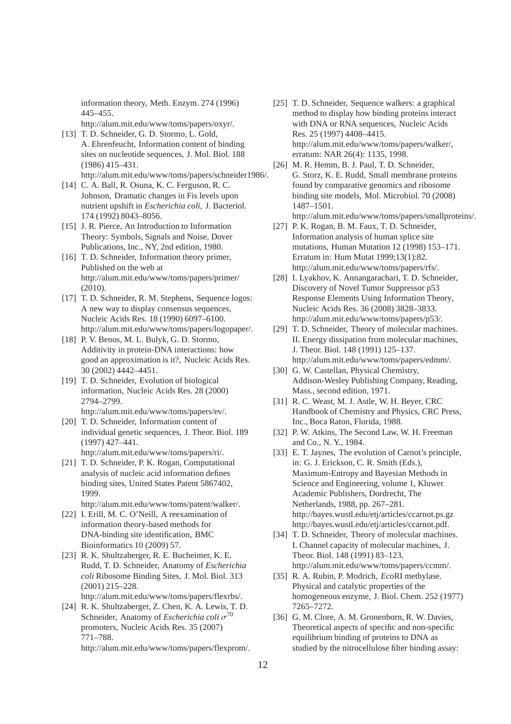information theory, Meth. Enzym. 274 (1996) 445–455.

http://alum.mit.edu/www/toms/papers/oxyr/.

- [13] T. D. Schneider, G. D. Stormo, L. Gold, A. Ehrenfeucht, Information content of binding sites on nucleotide sequences, J. Mol. Biol. 188 (1986) 415–431. http://alum.mit.edu/www/toms/papers/schneider1986/.
- [14] C. A. Ball, R. Osuna, K. C. Ferguson, R. C. Johnson, Dramatic changes in Fis levels upon nutrient upshift in *Escherichia coli*, J. Bacteriol. 174 (1992) 8043–8056.
- [15] J. R. Pierce, An Introduction to Information Theory: Symbols, Signals and Noise, Dover Publications, Inc., NY, 2nd edition, 1980.
- [16] T. D. Schneider, Information theory primer, Published on the web at http://alum.mit.edu/www/toms/papers/primer/ (2010).
- [17] T. D. Schneider, R. M. Stephens, Sequence logos: A new way to display consensus sequences, Nucleic Acids Res. 18 (1990) 6097–6100. http://alum.mit.edu/www/toms/papers/logopaper/.
- [18] P. V. Benos, M. L. Bulyk, G. D. Stormo, Additivity in protein-DNA interactions: how good an approximation is it?, Nucleic Acids Res. 30 (2002) 4442–4451.
- [19] T. D. Schneider, Evolution of biological information, Nucleic Acids Res. 28 (2000) 2794–2799.
	- http://alum.mit.edu/www/toms/papers/ev/.
- [20] T. D. Schneider, Information content of individual genetic sequences, J. Theor. Biol. 189 (1997) 427–441. http://alum.mit.edu/www/toms/papers/ri/.
- [21] T. D. Schneider, P. K. Rogan, Computational analysis of nucleic acid information defines binding sites, United States Patent 5867402, 1999.
	- http://alum.mit.edu/www/toms/patent/walker/.
- [22] I. Erill, M. C. O'Neill, A reexamination of information theory-based methods for DNA-binding site identification, BMC Bioinformatics 10 (2009) 57.
- [23] R. K. Shultzaberger, R. E. Bucheimer, K. E. Rudd, T. D. Schneider, Anatomy of *Escherichia coli* Ribosome Binding Sites, J. Mol. Biol. 313 (2001) 215–228. http://alum.mit.edu/www/toms/papers/flexrbs/.

[24] R. K. Shultzaberger, Z. Chen, K. A. Lewis, T. D. Schneider, Anatomy of *Escherichia coli* σ<sup>70</sup>

promoters, Nucleic Acids Res. 35 (2007) 771–788. http://alum.mit.edu/www/toms/papers/flexprom/.

- [25] T. D. Schneider, Sequence walkers: a graphical method to display how binding proteins interact with DNA or RNA sequences, Nucleic Acids Res. 25 (1997) 4408–4415. http://alum.mit.edu/www/toms/papers/walker/, erratum: NAR 26(4): 1135, 1998.
- [26] M. R. Hemm, B. J. Paul, T. D. Schneider, G. Storz, K. E. Rudd, Small membrane proteins found by comparative genomics and ribosome binding site models, Mol. Microbiol. 70 (2008) 1487–1501.

http://alum.mit.edu/www/toms/papers/smallproteins/.

- [27] P. K. Rogan, B. M. Faux, T. D. Schneider, Information analysis of human splice site mutations, Human Mutation 12 (1998) 153–171. Erratum in: Hum Mutat 1999;13(1):82. http://alum.mit.edu/www/toms/papers/rfs/.
- [28] I. Lyakhov, K. Annangarachari, T. D. Schneider, Discovery of Novel Tumor Suppressor p53 Response Elements Using Information Theory, Nucleic Acids Res. 36 (2008) 3828–3833. http://alum.mit.edu/www/toms/papers/p53/.
- [29] T. D. Schneider, Theory of molecular machines. II. Energy dissipation from molecular machines, J. Theor. Biol. 148 (1991) 125–137. http://alum.mit.edu/www/toms/papers/edmm/.
- [30] G. W. Castellan, Physical Chemistry, Addison-Wesley Publishing Company, Reading, Mass., second edition, 1971.
- [31] R. C. Weast, M. J. Astle, W. H. Beyer, CRC Handbook of Chemistry and Physics, CRC Press, Inc., Boca Raton, Florida, 1988.
- [32] P. W. Atkins, The Second Law, W. H. Freeman and Co., N. Y., 1984.
- [33] E. T. Jaynes, The evolution of Carnot's principle, in: G. J. Erickson, C. R. Smith (Eds.), Maximum-Entropy and Bayesian Methods in Science and Engineering, volume 1, Kluwer Academic Publishers, Dordrecht, The Netherlands, 1988, pp. 267–281. http://bayes.wustl.edu/etj/articles/ccarnot.ps.gz http://bayes.wustl.edu/etj/articles/ccarnot.pdf.
- [34] T. D. Schneider, Theory of molecular machines. I. Channel capacity of molecular machines, J. Theor. Biol. 148 (1991) 83–123. http://alum.mit.edu/www/toms/papers/ccmm/.
- [35] R. A. Rubin, P. Modrich, *Eco*RI methylase. Physical and catalytic properties of the homogeneous enzyme, J. Biol. Chem. 252 (1977) 7265–7272.
- [36] G. M. Clore, A. M. Gronenborn, R. W. Davies, Theoretical aspects of specific and non-specific equilibrium binding of proteins to DNA as studied by the nitrocellulose filter binding assay: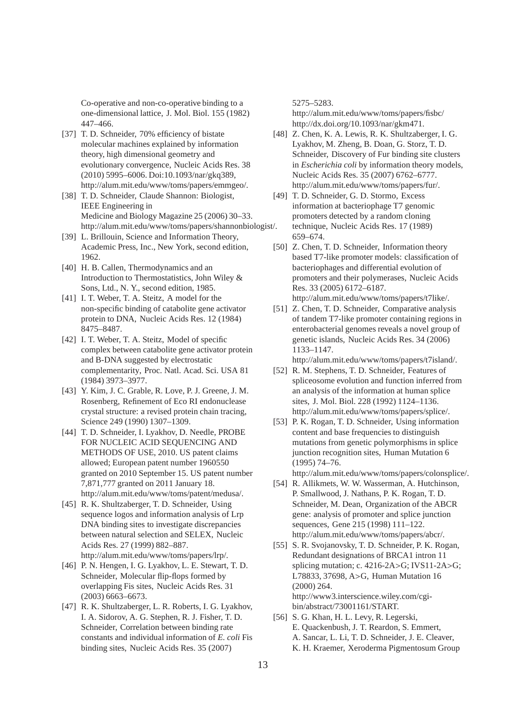Co-operative and non-co-operative binding to a one-dimensional lattice, J. Mol. Biol. 155 (1982) 447–466.

- [37] T. D. Schneider, 70% efficiency of bistate molecular machines explained by information theory, high dimensional geometry and evolutionary convergence, Nucleic Acids Res. 38 (2010) 5995–6006. Doi:10.1093/nar/gkq389, http://alum.mit.edu/www/toms/papers/emmgeo/.
- [38] T. D. Schneider, Claude Shannon: Biologist, IEEE Engineering in Medicine and Biology Magazine 25 (2006) 30–33. http://alum.mit.edu/www/toms/papers/shannonbiologist/.
- [39] L. Brillouin, Science and Information Theory, Academic Press, Inc., New York, second edition, 1962.
- [40] H. B. Callen, Thermodynamics and an Introduction to Thermostatistics, John Wiley & Sons, Ltd., N. Y., second edition, 1985.
- [41] I. T. Weber, T. A. Steitz, A model for the non-specific binding of catabolite gene activator protein to DNA, Nucleic Acids Res. 12 (1984) 8475–8487.
- [42] I. T. Weber, T. A. Steitz, Model of specific complex between catabolite gene activator protein and B-DNA suggested by electrostatic complementarity, Proc. Natl. Acad. Sci. USA 81 (1984) 3973–3977.
- [43] Y. Kim, J. C. Grable, R. Love, P. J. Greene, J. M. Rosenberg, Refinement of Eco RI endonuclease crystal structure: a revised protein chain tracing, Science 249 (1990) 1307–1309.
- [44] T. D. Schneider, I. Lyakhov, D. Needle, PROBE FOR NUCLEIC ACID SEQUENCING AND METHODS OF USE, 2010. US patent claims allowed; European patent number 1960550 granted on 2010 September 15. US patent number 7,871,777 granted on 2011 January 18. http://alum.mit.edu/www/toms/patent/medusa/.
- [45] R. K. Shultzaberger, T. D. Schneider, Using sequence logos and information analysis of Lrp DNA binding sites to investigate discrepancies between natural selection and SELEX, Nucleic Acids Res. 27 (1999) 882–887. http://alum.mit.edu/www/toms/papers/lrp/.
- [46] P. N. Hengen, I. G. Lyakhov, L. E. Stewart, T. D. Schneider, Molecular flip-flops formed by overlapping Fis sites, Nucleic Acids Res. 31 (2003) 6663–6673.
- [47] R. K. Shultzaberger, L. R. Roberts, I. G. Lyakhov, I. A. Sidorov, A. G. Stephen, R. J. Fisher, T. D. Schneider, Correlation between binding rate constants and individual information of *E. coli* Fis binding sites, Nucleic Acids Res. 35 (2007)

5275–5283.

http://alum.mit.edu/www/toms/papers/fisbc/ http://dx.doi.org/10.1093/nar/gkm471.

- [48] Z. Chen, K. A. Lewis, R. K. Shultzaberger, I. G. Lyakhov, M. Zheng, B. Doan, G. Storz, T. D. Schneider, Discovery of Fur binding site clusters in *Escherichia coli* by information theory models, Nucleic Acids Res. 35 (2007) 6762–6777. http://alum.mit.edu/www/toms/papers/fur/.
- [49] T. D. Schneider, G. D. Stormo, Excess information at bacteriophage T7 genomic promoters detected by a random cloning technique, Nucleic Acids Res. 17 (1989) 659–674.
- [50] Z. Chen, T. D. Schneider, Information theory based T7-like promoter models: classification of bacteriophages and differential evolution of promoters and their polymerases, Nucleic Acids Res. 33 (2005) 6172–6187. http://alum.mit.edu/www/toms/papers/t7like/.
- [51] Z. Chen, T. D. Schneider, Comparative analysis of tandem T7-like promoter containing regions in enterobacterial genomes reveals a novel group of genetic islands, Nucleic Acids Res. 34 (2006) 1133–1147.

http://alum.mit.edu/www/toms/papers/t7island/.

- [52] R. M. Stephens, T. D. Schneider, Features of spliceosome evolution and function inferred from an analysis of the information at human splice sites, J. Mol. Biol. 228 (1992) 1124–1136. http://alum.mit.edu/www/toms/papers/splice/.
- [53] P. K. Rogan, T. D. Schneider, Using information content and base frequencies to distinguish mutations from genetic polymorphisms in splice junction recognition sites, Human Mutation 6 (1995) 74–76.

http://alum.mit.edu/www/toms/papers/colonsplice/.

- [54] R. Allikmets, W. W. Wasserman, A. Hutchinson, P. Smallwood, J. Nathans, P. K. Rogan, T. D. Schneider, M. Dean, Organization of the ABCR gene: analysis of promoter and splice junction sequences, Gene 215 (1998) 111–122. http://alum.mit.edu/www/toms/papers/abcr/.
- [55] S. R. Svojanovsky, T. D. Schneider, P. K. Rogan, Redundant designations of BRCA1 intron 11 splicing mutation; c. 4216-2A>G; IVS11-2A>G; L78833, 37698, A>G, Human Mutation 16 (2000) 264. http://www3.interscience.wiley.com/cgibin/abstract/73001161/START.
- [56] S. G. Khan, H. L. Levy, R. Legerski, E. Quackenbush, J. T. Reardon, S. Emmert, A. Sancar, L. Li, T. D. Schneider, J. E. Cleaver, K. H. Kraemer, Xeroderma Pigmentosum Group